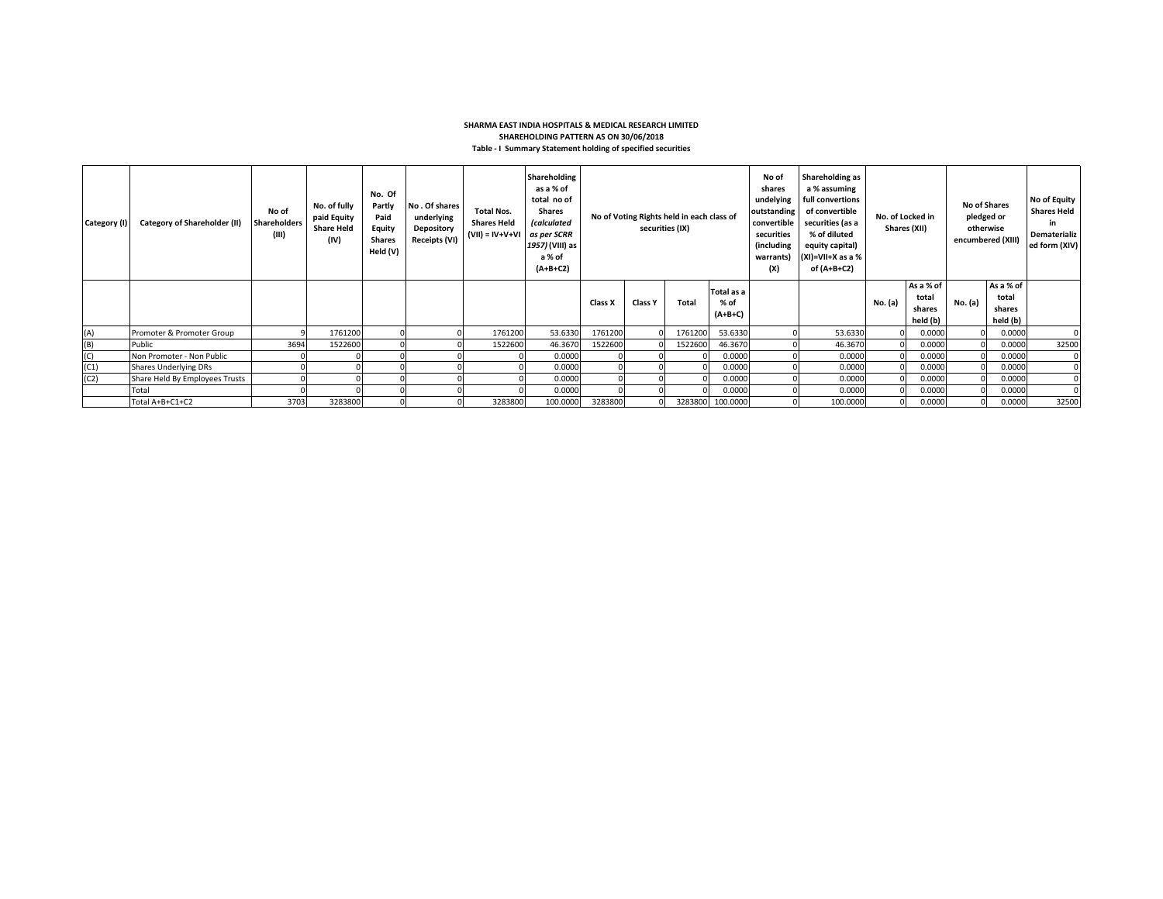## **SHARMA EAST INDIA HOSPITALS & MEDICAL RESEARCH LIMITED SHAREHOLDING PATTERN AS ON 30/06/2018 Table - I Summary Statement holding of specified securities**

| Category (I) | Category of Shareholder (II)   | No of<br><b>Shareholders</b><br>(III) | No. of fully<br>paid Equity<br><b>Share Held</b><br>(IV) | No. Of<br>Partly<br>Paid<br>Equity<br>Shares<br>Held (V) | No. Of shares<br>underlying<br>Depository<br>Receipts (VI) | <b>Total Nos.</b><br><b>Shares Held</b><br>$(VII) = IV + V + VI$ | Shareholding<br>as a % of<br>total no of<br><b>Shares</b><br><i>(calculated</i><br>as per SCRR<br>1957) (VIII) as<br>a % of<br>$(A+B+C2)$ | No of Voting Rights held in each class of<br>securities (IX) |                |         |                                 |  |          |         |                                          |         |                                          |       |  | No of<br>shares<br>undelying<br>outstanding<br>convertible<br>securities<br>(including<br>warrants)<br>(X) |  | Shareholding as<br>a % assuming<br>full convertions<br>of convertible<br>No. of Locked in<br>securities (as a<br>Shares (XII)<br>% of diluted<br>equity capital)<br>$(XI)=VII+X$ as a %<br>of (A+B+C2) |  |  | <b>No of Shares</b><br>pledged or<br>otherwise<br>encumbered (XIII) |  | No of Equity<br><b>Shares Held</b><br>in<br>Dematerializ<br>ed form (XIV) |
|--------------|--------------------------------|---------------------------------------|----------------------------------------------------------|----------------------------------------------------------|------------------------------------------------------------|------------------------------------------------------------------|-------------------------------------------------------------------------------------------------------------------------------------------|--------------------------------------------------------------|----------------|---------|---------------------------------|--|----------|---------|------------------------------------------|---------|------------------------------------------|-------|--|------------------------------------------------------------------------------------------------------------|--|--------------------------------------------------------------------------------------------------------------------------------------------------------------------------------------------------------|--|--|---------------------------------------------------------------------|--|---------------------------------------------------------------------------|
|              |                                |                                       |                                                          |                                                          |                                                            |                                                                  |                                                                                                                                           | Class X                                                      | <b>Class Y</b> | Total   | Total as a<br>% of<br>$(A+B+C)$ |  |          | No. (a) | As a % of<br>total<br>shares<br>held (b) | No. (a) | As a % of<br>total<br>shares<br>held (b) |       |  |                                                                                                            |  |                                                                                                                                                                                                        |  |  |                                                                     |  |                                                                           |
| (A)          | Promoter & Promoter Group      |                                       | 1761200                                                  |                                                          |                                                            | 1761200                                                          | 53.6330                                                                                                                                   | 1761200                                                      |                | 1761200 | 53.6330                         |  | 53.6330  |         | 0.0000                                   |         | 0.0000                                   |       |  |                                                                                                            |  |                                                                                                                                                                                                        |  |  |                                                                     |  |                                                                           |
| (B)          | Public                         | 3694                                  | 1522600                                                  |                                                          |                                                            | 1522600                                                          | 46.3670                                                                                                                                   | 1522600                                                      |                | 1522600 | 46.3670                         |  | 46.3670  |         | 0.0000                                   |         | 0.0000                                   | 32500 |  |                                                                                                            |  |                                                                                                                                                                                                        |  |  |                                                                     |  |                                                                           |
| (C)          | Non Promoter - Non Public      |                                       |                                                          |                                                          |                                                            |                                                                  | 0.0000                                                                                                                                    |                                                              |                |         | 0.0000                          |  | 0.0000   |         | 0.0000                                   |         | 0.0000                                   |       |  |                                                                                                            |  |                                                                                                                                                                                                        |  |  |                                                                     |  |                                                                           |
| (C1)         | Shares Underlying DRs          |                                       |                                                          |                                                          |                                                            |                                                                  | 0.0000                                                                                                                                    |                                                              |                |         | 0.0000                          |  | 0.0000   |         | 0.0000                                   |         | 0.0000                                   |       |  |                                                                                                            |  |                                                                                                                                                                                                        |  |  |                                                                     |  |                                                                           |
| (C2)         | Share Held By Employees Trusts |                                       |                                                          |                                                          |                                                            |                                                                  | 0.0000                                                                                                                                    |                                                              |                |         | 0.0000                          |  | 0.0000   |         | 0.0000                                   |         | 0.0000                                   |       |  |                                                                                                            |  |                                                                                                                                                                                                        |  |  |                                                                     |  |                                                                           |
|              | Total                          |                                       |                                                          |                                                          |                                                            |                                                                  | 0.0000                                                                                                                                    |                                                              |                |         | 0.0000                          |  | 0.0000   |         | 0.0000                                   |         | 0.0000                                   |       |  |                                                                                                            |  |                                                                                                                                                                                                        |  |  |                                                                     |  |                                                                           |
|              | Total A+B+C1+C2                | 3703                                  | 3283800                                                  |                                                          |                                                            | 3283800                                                          | 100.0000                                                                                                                                  | 3283800                                                      |                |         | 3283800 100.0000                |  | 100.0000 |         | 0.0000                                   |         | 0.0000                                   | 32500 |  |                                                                                                            |  |                                                                                                                                                                                                        |  |  |                                                                     |  |                                                                           |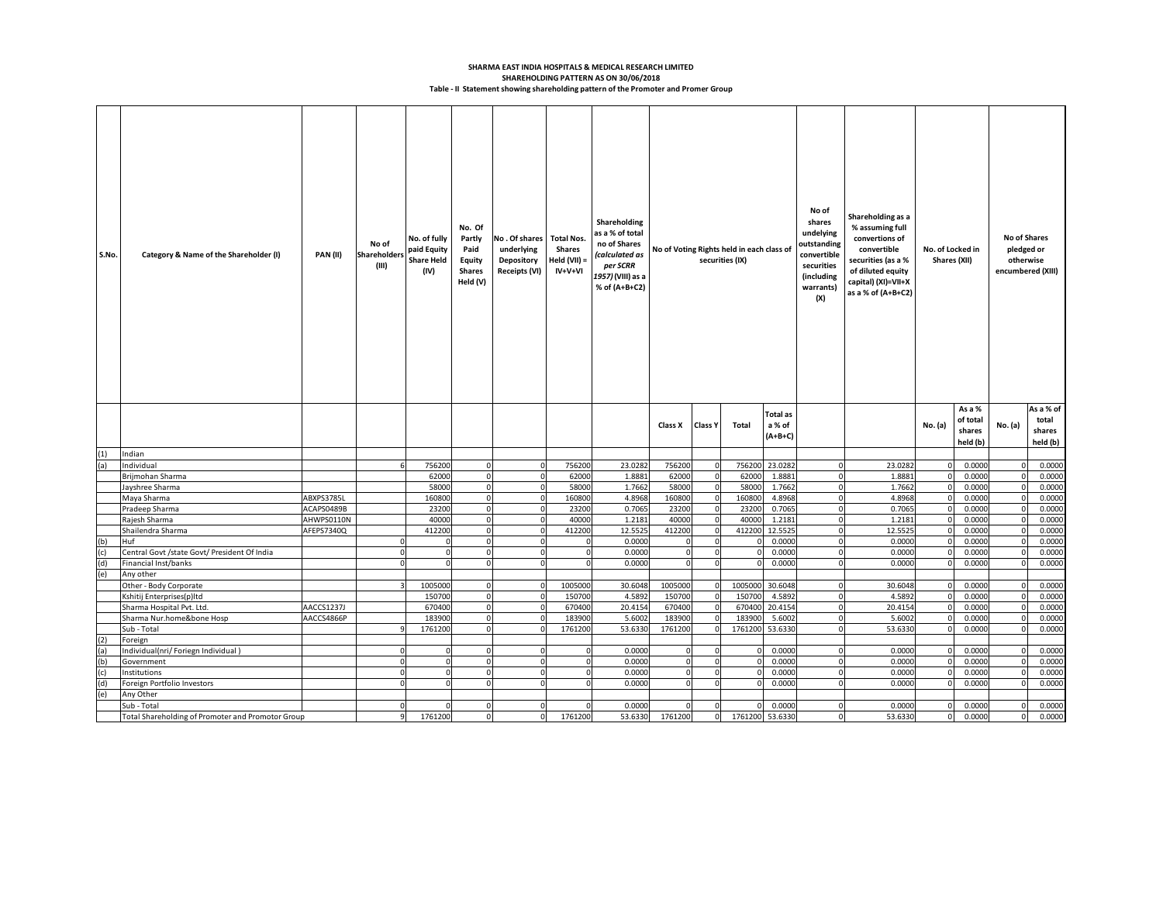## **SHAREHOLDING PATTERN AS ON 30/06/2018 SHARMA EAST INDIA HOSPITALS & MEDICAL RESEARCH LIMITED Table - II Statement showing shareholding pattern of the Promoter and Promer Group**

| S.No. | Category & Name of the Shareholder (I)                 | PAN(II)    | No of<br><b>Shareholders</b><br>(III) | No. of fully<br>paid Equity<br><b>Share Held</b><br>(IV) | No. Of<br>Partly<br>Paid<br>Equity<br><b>Shares</b><br>Held (V) | No. Of shares Total Nos.<br>underlying<br><b>Depository</b><br><b>Receipts (VI)</b> | <b>Shares</b><br>Held (VII) =<br>$IV+V+VI$ | Shareholding<br>as a % of total<br>no of Shares<br>(calculated as<br>per SCRR<br>1957) (VIII) as a<br>% of (A+B+C2) | No of Voting Rights held in each class of<br>securities (IX) |                | No of<br>shares<br>undelying<br>outstanding<br>convertible<br>securities<br>(including<br>warrants)<br>(X) | Shareholding as a<br>% assuming full<br>convertions of<br>convertible<br>securities (as a %<br>of diluted equity<br>capital) (XI)=VII+X<br>as a % of (A+B+C2) |             | No. of Locked in<br>Shares (XII) | No of Shares<br>pledged or<br>otherwise<br>encumbered (XIII) |                                          |          |                                          |
|-------|--------------------------------------------------------|------------|---------------------------------------|----------------------------------------------------------|-----------------------------------------------------------------|-------------------------------------------------------------------------------------|--------------------------------------------|---------------------------------------------------------------------------------------------------------------------|--------------------------------------------------------------|----------------|------------------------------------------------------------------------------------------------------------|---------------------------------------------------------------------------------------------------------------------------------------------------------------|-------------|----------------------------------|--------------------------------------------------------------|------------------------------------------|----------|------------------------------------------|
|       |                                                        |            |                                       |                                                          |                                                                 |                                                                                     |                                            |                                                                                                                     | Class X                                                      | <b>Class Y</b> | Total                                                                                                      | Total as<br>a % of<br>$(A+B+C)$                                                                                                                               |             |                                  | No. (a)                                                      | As a %<br>of total<br>shares<br>held (b) | No. (a)  | As a % of<br>total<br>shares<br>held (b) |
| (1)   | Indian                                                 |            |                                       |                                                          |                                                                 |                                                                                     |                                            |                                                                                                                     |                                                              |                |                                                                                                            |                                                                                                                                                               |             |                                  |                                                              |                                          |          |                                          |
| (a)   | Individual                                             |            |                                       | 756200                                                   |                                                                 | $\Omega$                                                                            | 756200                                     | 23.0282                                                                                                             | 756200                                                       |                | 756200                                                                                                     | 23.0282                                                                                                                                                       |             | 23.0282                          |                                                              | 0.0000                                   |          | 0.0000                                   |
|       | Brijmohan Sharma                                       |            |                                       | 62000                                                    | $\mathbf 0$                                                     | $\Omega$                                                                            | 62000                                      | 1.8881                                                                                                              | 62000                                                        |                | 62000                                                                                                      | 1.888                                                                                                                                                         | $\Omega$    | 1.8881                           | $\Omega$                                                     | 0.0000                                   | $\Omega$ | 0.0000                                   |
|       | Jayshree Sharma                                        |            |                                       | 58000                                                    | $\Omega$                                                        | 0                                                                                   | 58000                                      | 1.7662                                                                                                              | 58000                                                        |                | 58000                                                                                                      | 1.7662                                                                                                                                                        | $\Omega$    | 1.7662                           |                                                              | 0.0000                                   |          | 0.0000                                   |
|       | Maya Sharma                                            | ABXPS3785L |                                       | 160800                                                   | $\Omega$                                                        | $\Omega$                                                                            | 160800                                     | 4.8968                                                                                                              | 160800                                                       |                | 160800                                                                                                     | 4.8968                                                                                                                                                        | $\Omega$    | 4.8968                           |                                                              | 0.0000                                   |          | 0.0000                                   |
|       | Pradeep Sharma                                         | ACAPS0489B |                                       | 23200                                                    | $\circ$                                                         | $\mathbf 0$                                                                         | 23200                                      | 0.7065                                                                                                              | 23200                                                        | O              | 23200                                                                                                      | 0.706                                                                                                                                                         | $\Omega$    | 0.7065                           | $\Omega$                                                     | 0.0000                                   | $\Omega$ | 0.0000                                   |
|       | Rajesh Sharma                                          | AHWPS0110N |                                       | 40000                                                    | $\Omega$                                                        | $\Omega$                                                                            | 40000                                      | 1.2181                                                                                                              | 40000                                                        |                | 40000                                                                                                      | 1.218                                                                                                                                                         | $\Omega$    | 1.2181                           |                                                              | 0.0000                                   | $\Omega$ | 0.0000                                   |
|       | Shailendra Sharma                                      | AFEPS7340Q |                                       | 412200                                                   |                                                                 |                                                                                     | 412200                                     | 12.5525                                                                                                             | 412200                                                       |                | 412200                                                                                                     | 12.552                                                                                                                                                        |             | 12.5525                          |                                                              | 0.0000                                   |          | 0.0000                                   |
| (b)   | Huf                                                    |            |                                       |                                                          | $\Omega$                                                        | $\Omega$                                                                            | $\Omega$                                   | 0.0000                                                                                                              | $\Omega$                                                     | $\Omega$       |                                                                                                            | 0.0000                                                                                                                                                        | $\Omega$    | 0.0000                           | $\Omega$                                                     | 0.0000                                   | $\Omega$ | 0.0000                                   |
| (c)   | Central Govt /state Govt/ President Of India           |            |                                       |                                                          | $\Omega$<br>$\Omega$                                            | $\Omega$                                                                            | 0                                          | 0.0000                                                                                                              | $\Omega$                                                     |                |                                                                                                            | 0.0000                                                                                                                                                        | $\Omega$    | 0.0000                           |                                                              | 0.0000                                   |          | 0.0000                                   |
| (d)   | Financial Inst/banks                                   |            |                                       |                                                          |                                                                 |                                                                                     |                                            | 0.0000                                                                                                              |                                                              |                |                                                                                                            | 0.0000                                                                                                                                                        |             | 0.0000                           |                                                              | 0.0000                                   |          | 0.0000                                   |
| (e)   | Any other                                              |            |                                       | 1005000                                                  | $\Omega$                                                        | 0                                                                                   | 1005000                                    | 30.6048                                                                                                             | 1005000                                                      |                | 1005000                                                                                                    | 30.6048                                                                                                                                                       | $\Omega$    | 30.6048                          |                                                              | 0.0000                                   | $\Omega$ | 0.0000                                   |
|       | Other - Body Corporate                                 |            |                                       | 150700                                                   | $\Omega$                                                        |                                                                                     | 150700                                     | 4.5892                                                                                                              | 150700                                                       |                | 150700                                                                                                     | 4.5892                                                                                                                                                        | $\Omega$    | 4.5892                           |                                                              | 0.0000                                   |          | 0.0000                                   |
|       | Kshitij Enterprises(p)Itd<br>Sharma Hospital Pvt. Ltd. | AACCS1237J |                                       | 670400                                                   | $\mathbf 0$                                                     | $\Omega$                                                                            | 670400                                     | 20.4154                                                                                                             | 670400                                                       | O              | 670400                                                                                                     | 20.4154                                                                                                                                                       | $\Omega$    | 20.4154                          |                                                              | 0.0000                                   | $\Omega$ | 0.0000                                   |
|       | Sharma Nur.home&bone Hosp                              | AACCS4866P |                                       | 183900                                                   | $\Omega$                                                        |                                                                                     | 183900                                     | 5.6002                                                                                                              | 183900                                                       |                | 183900                                                                                                     | 5.6002                                                                                                                                                        |             | 5.6002                           |                                                              | 0.0000                                   |          | 0.0000                                   |
|       | Sub - Total                                            |            |                                       | 1761200                                                  | $\Omega$                                                        |                                                                                     | 1761200                                    | 53.6330                                                                                                             | 1761200                                                      |                | 1761200                                                                                                    | 53.6330                                                                                                                                                       |             | 53.6330                          |                                                              | 0.0000                                   |          | 0.0000                                   |
| (2)   | Foreign                                                |            |                                       |                                                          |                                                                 |                                                                                     |                                            |                                                                                                                     |                                                              |                |                                                                                                            |                                                                                                                                                               |             |                                  |                                                              |                                          |          |                                          |
| (a)   | Individual(nri/Foriegn Individual)                     |            |                                       |                                                          | $\Omega$                                                        |                                                                                     |                                            | 0.0000                                                                                                              |                                                              |                |                                                                                                            | 0.0000                                                                                                                                                        | $\Omega$    | 0.0000                           |                                                              | 0.0000                                   |          | 0.0000                                   |
| (b)   | Government                                             |            |                                       |                                                          | $\Omega$                                                        | $\Omega$                                                                            |                                            | 0.0000                                                                                                              |                                                              |                |                                                                                                            | 0.0000                                                                                                                                                        | $\Omega$    | 0.0000                           |                                                              | 0.0000                                   |          | 0.0000                                   |
| (c)   | Institutions                                           |            | $\Omega$                              |                                                          | $\mathbf 0$                                                     | <sub>0</sub>                                                                        | $\overline{0}$                             | 0.0000                                                                                                              | $\Omega$                                                     | O              |                                                                                                            | 0.0000                                                                                                                                                        | $\mathbf 0$ | 0.0000                           |                                                              | 0.0000                                   | $\Omega$ | 0.0000                                   |
| (d)   | Foreign Portfolio Investors                            |            |                                       |                                                          | $\Omega$                                                        | 0                                                                                   | $\Omega$                                   | 0.0000                                                                                                              | $\Omega$                                                     |                |                                                                                                            | 0.0000                                                                                                                                                        | $\Omega$    | 0.0000                           | n                                                            | 0.0000                                   | $\Omega$ | 0.0000                                   |
| (e)   | Any Other                                              |            |                                       |                                                          |                                                                 |                                                                                     |                                            |                                                                                                                     |                                                              |                |                                                                                                            |                                                                                                                                                               |             |                                  |                                                              |                                          |          |                                          |
|       | Sub - Total                                            |            |                                       |                                                          | $\Omega$                                                        | $\Omega$                                                                            | $\Omega$                                   | 0.0000                                                                                                              | $\Omega$                                                     | 0              |                                                                                                            | 0.0000                                                                                                                                                        | $\Omega$    | 0.0000                           |                                                              | 0.0000                                   |          | 0.0000                                   |
|       | Total Shareholding of Promoter and Promotor Group      |            |                                       | 1761200                                                  |                                                                 | $\Omega$                                                                            | 1761200                                    | 53.6330                                                                                                             | 1761200                                                      | $\mathbf{0}$   | 1761200 53.6330                                                                                            |                                                                                                                                                               |             | 53.6330                          | $\Omega$                                                     | 0.0000                                   | $\Omega$ | 0.0000                                   |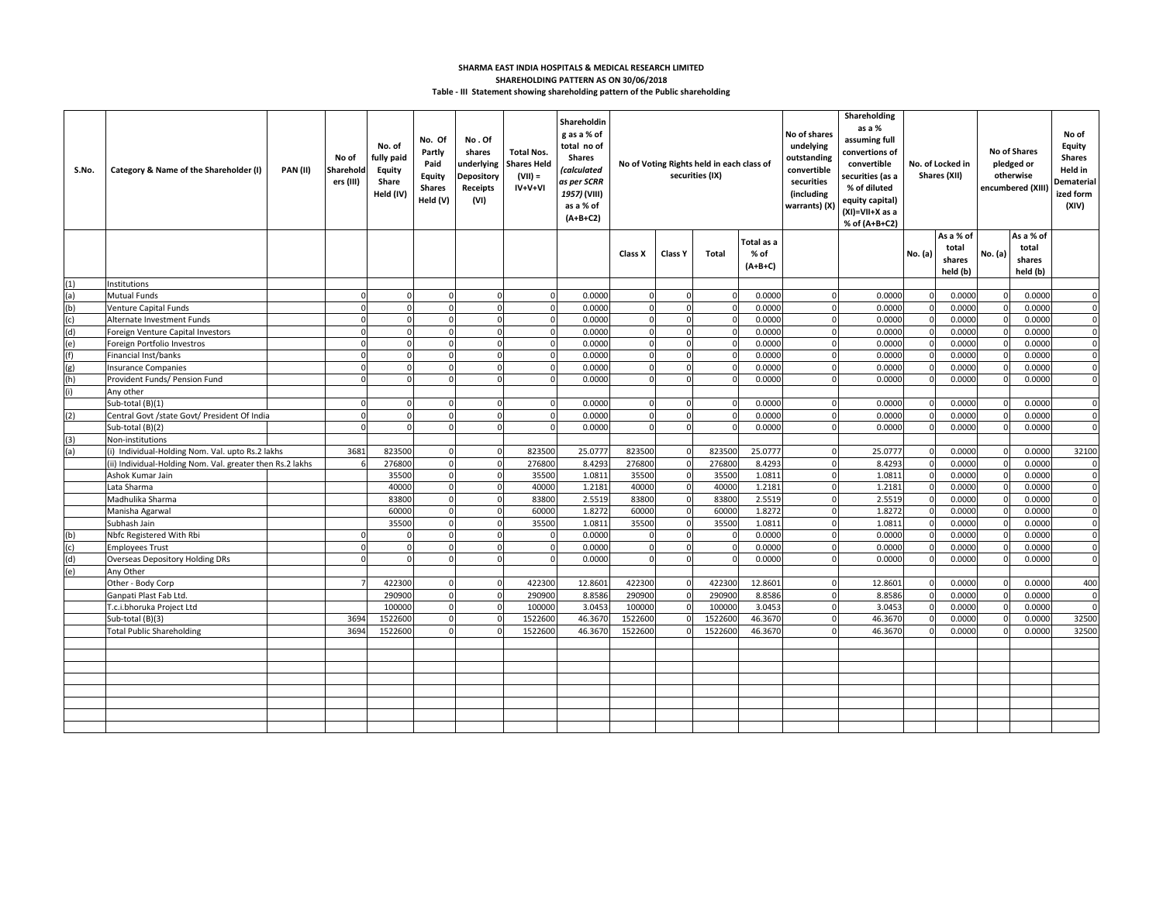## **SHARMA EAST INDIA HOSPITALS & MEDICAL RESEARCH LIMITED SHAREHOLDING PATTERN AS ON 30/06/2018 Table - III Statement showing shareholding pattern of the Public shareholding**

| S.No.      | Category & Name of the Shareholder (I)                    | <b>PAN (II)</b> | No of<br>Sharehold<br>ers (III) | No. of<br>fully paid<br><b>Equity</b><br>Share<br>Held (IV) | No. Of<br>Partly<br>Paid<br><b>Equity</b><br><b>Shares</b><br>Held (V) | No.Of<br>shares<br>underlying<br><b>Depository</b><br>Receipts<br>(VI) | <b>Total Nos.</b><br><b>Shares Held</b><br>$(VII) =$<br>IV+V+VI | Shareholdin<br>g as a % of<br>total no of<br><b>Shares</b><br>calculated<br>as per SCRR<br>1957) (VIII)<br>as a % of<br>$(A+B+C2)$ | No of Voting Rights held in each class of<br>securities (IX) |                      |                             | Shareholding<br>as a %<br>No of shares<br>assuming full<br>undelying<br>convertions of<br>outstanding<br>convertible<br>convertible<br>securities (as a<br>securities<br>% of diluted<br>(including<br>equity capital)<br>warrants) (X)<br>(XI)=VII+X as a<br>% of (A+B+C2) |                      |                 | No. of Locked in<br>Shares (XII) |                                          | No of Shares<br>pledged or<br>otherwise<br>encumbered (XIII | No of<br>Equity<br><b>Shares</b><br>Held in<br>Dematerial<br>ized form<br>(XIV) |                            |
|------------|-----------------------------------------------------------|-----------------|---------------------------------|-------------------------------------------------------------|------------------------------------------------------------------------|------------------------------------------------------------------------|-----------------------------------------------------------------|------------------------------------------------------------------------------------------------------------------------------------|--------------------------------------------------------------|----------------------|-----------------------------|-----------------------------------------------------------------------------------------------------------------------------------------------------------------------------------------------------------------------------------------------------------------------------|----------------------|-----------------|----------------------------------|------------------------------------------|-------------------------------------------------------------|---------------------------------------------------------------------------------|----------------------------|
|            |                                                           |                 |                                 |                                                             |                                                                        |                                                                        |                                                                 |                                                                                                                                    | Class X                                                      | <b>Class Y</b>       | Total                       | Total as a<br>% of<br>$(A+B+C)$                                                                                                                                                                                                                                             |                      |                 | No. (a)                          | As a % of<br>total<br>shares<br>held (b) | No. (a)                                                     | As a % of<br>total<br>shares<br>held (b)                                        |                            |
| (1)        | Institutions                                              |                 |                                 |                                                             |                                                                        |                                                                        |                                                                 |                                                                                                                                    |                                                              |                      |                             |                                                                                                                                                                                                                                                                             |                      |                 |                                  |                                          |                                                             |                                                                                 |                            |
| (a)        | <b>Mutual Funds</b>                                       |                 |                                 |                                                             |                                                                        |                                                                        |                                                                 | 0.0000                                                                                                                             |                                                              |                      |                             | 0.0000                                                                                                                                                                                                                                                                      |                      | 0.0000          |                                  | 0.0000                                   |                                                             | 0.0000                                                                          | $\Omega$                   |
| (b)        | Venture Capital Funds                                     |                 |                                 |                                                             |                                                                        |                                                                        |                                                                 | 0.0000                                                                                                                             | $\Omega$                                                     |                      | $\epsilon$                  | 0.0000                                                                                                                                                                                                                                                                      |                      | 0.0000          |                                  | 0.0000                                   |                                                             | 0.0000                                                                          | $\Omega$                   |
| (c)        | Alternate Investment Funds                                |                 |                                 | $\Omega$                                                    | $\mathbf 0$                                                            | $\Omega$                                                               | $\Omega$                                                        | 0.0000                                                                                                                             | $\Omega$                                                     |                      | $\Omega$                    | 0.0000                                                                                                                                                                                                                                                                      | $\Omega$             | 0.0000          |                                  | 0.0000                                   |                                                             | 0.0000                                                                          | $\mathbf 0$                |
| (d)        | Foreign Venture Capital Investors                         |                 |                                 | $\Omega$                                                    | $\Omega$                                                               | $\Omega$                                                               | $\Omega$                                                        | 0.0000                                                                                                                             | $\Omega$                                                     |                      | $\Omega$                    | 0.000                                                                                                                                                                                                                                                                       | $\Omega$             | 0.000           |                                  | 0.0000                                   |                                                             | 0.0000                                                                          | $\overline{0}$             |
| (e)        | Foreign Portfolio Investros                               |                 |                                 | $\Omega$                                                    | 0                                                                      | $\Omega$                                                               | $\Omega$                                                        | 0.0000                                                                                                                             | $\Omega$                                                     | $\Omega$             | $\Omega$                    | 0.0000                                                                                                                                                                                                                                                                      | $\Omega$             | 0.0000          |                                  | 0.0000                                   |                                                             | 0.0000                                                                          | $\Omega$                   |
| (f)        | Financial Inst/banks                                      |                 | $\Omega$                        | $\Omega$                                                    | $\mathbf 0$                                                            | $\mathbf 0$                                                            | $\Omega$                                                        | 0.0000                                                                                                                             | $\Omega$                                                     | $\Omega$             | $\Omega$                    | 0.0000                                                                                                                                                                                                                                                                      | $\Omega$             | 0.0000          |                                  | 0.0000                                   | $\Omega$                                                    | 0.0000                                                                          | $\mathbf 0$                |
| (g)        | <b>Insurance Companies</b>                                |                 |                                 | $\Omega$                                                    | $\Omega$                                                               | $\Omega$                                                               | $\Omega$                                                        | 0.0000                                                                                                                             | $\Omega$                                                     | $\Omega$             | $\Omega$                    | 0.0000                                                                                                                                                                                                                                                                      | $\Omega$             | 0.0000          |                                  | 0.0000                                   |                                                             | 0.0000                                                                          | $\Omega$                   |
| (h)        | Provident Funds/ Pension Fund                             |                 |                                 |                                                             | $\Omega$                                                               | $\Omega$                                                               |                                                                 | 0.0000                                                                                                                             | $\Omega$                                                     |                      | $\mathcal{C}_{\mathcal{C}}$ | 0.0000                                                                                                                                                                                                                                                                      |                      | 0.0000          |                                  | 0.0000                                   |                                                             | 0.0000                                                                          | $\Omega$                   |
|            | Any other                                                 |                 |                                 |                                                             |                                                                        |                                                                        |                                                                 |                                                                                                                                    |                                                              |                      |                             |                                                                                                                                                                                                                                                                             |                      |                 |                                  |                                          |                                                             |                                                                                 |                            |
|            | Sub-total (B)(1)                                          |                 |                                 | $\Omega$                                                    | $\mathbf 0$                                                            | $\Omega$                                                               |                                                                 | 0.0000                                                                                                                             | $\Omega$                                                     | $\Omega$             | $\Omega$                    | 0.0000                                                                                                                                                                                                                                                                      | $\Omega$             | 0.0000          |                                  | 0.0000                                   |                                                             | 0.0000                                                                          | $\Omega$                   |
| (2)        | Central Govt /state Govt/ President Of India              |                 | $\mathsf{r}$                    | $\Omega$                                                    | $\circ$                                                                | $\mathbf 0$                                                            | $\Omega$                                                        | 0.0000                                                                                                                             | $\Omega$                                                     | $\Omega$             | $\Omega$                    | 0.0000                                                                                                                                                                                                                                                                      | $\Omega$             | 0.0000          |                                  | 0.0000                                   | $\Omega$                                                    | 0.0000                                                                          | $\mathbf 0$                |
|            | Sub-total (B)(2)                                          |                 |                                 | $\Omega$                                                    | 0                                                                      | $\Omega$                                                               | $\Omega$                                                        | 0.0000                                                                                                                             | $\Omega$                                                     | $\Omega$             | $\Omega$                    | 0.0000                                                                                                                                                                                                                                                                      | $\Omega$             | 0.0000          |                                  | 0.0000                                   | $\Omega$                                                    | 0.0000                                                                          | $\Omega$                   |
| (3)        | Non-institutions                                          |                 |                                 |                                                             |                                                                        |                                                                        |                                                                 |                                                                                                                                    |                                                              |                      |                             |                                                                                                                                                                                                                                                                             |                      |                 |                                  |                                          |                                                             |                                                                                 |                            |
| (a)        | (i) Individual-Holding Nom. Val. upto Rs.2 lakhs          |                 | 3681                            | 823500                                                      | $\Omega$                                                               | $\Omega$                                                               | 823500                                                          | 25.0777                                                                                                                            | 823500                                                       | $\Omega$             | 823500                      | 25.0777                                                                                                                                                                                                                                                                     | $\Omega$             | 25.0777         |                                  | 0.0000                                   |                                                             | 0.0000                                                                          | 32100                      |
|            | (ii) Individual-Holding Nom. Val. greater then Rs.2 lakhs |                 |                                 | 276800                                                      | $\Omega$                                                               | $\Omega$                                                               | 276800                                                          | 8.4293                                                                                                                             | 276800                                                       |                      | 276800                      | 8.4293                                                                                                                                                                                                                                                                      |                      | 8.4293          |                                  | 0.0000                                   |                                                             | 0.0000                                                                          | $\mathbf 0$                |
|            | Ashok Kumar Jain                                          |                 |                                 | 35500                                                       | $\Omega$                                                               | $\Omega$                                                               | 35500                                                           | 1.0811                                                                                                                             | 35500                                                        |                      | 35500                       | 1.0811                                                                                                                                                                                                                                                                      |                      | 1.081           |                                  | 0.0000                                   |                                                             | 0.0000                                                                          | $\Omega$                   |
|            | Lata Sharma                                               |                 |                                 | 40000                                                       | $\mathbf 0$                                                            | $\Omega$                                                               | 40000                                                           | 1.2181                                                                                                                             | 40000                                                        |                      | 4000C                       | 1.2181                                                                                                                                                                                                                                                                      | $\Omega$             | 1.218           |                                  | 0.0000                                   |                                                             | 0.0000                                                                          | $\mathbf 0$                |
|            | Madhulika Sharma                                          |                 |                                 | 83800                                                       | $\mathsf{o}$                                                           | $\mathbf 0$                                                            | 83800                                                           | 2.5519                                                                                                                             | 83800                                                        | $\Omega$             | 83800                       | 2.5519                                                                                                                                                                                                                                                                      | $\Omega$             | 2.5519          |                                  | 0.0000                                   |                                                             | 0.0000                                                                          | $\mathbf 0$                |
|            | Manisha Agarwal<br>Subhash Jain                           |                 |                                 | 60000<br>35500                                              | $\mathbf 0$<br>0                                                       | $\mathbf 0$<br>$\mathbf 0$                                             | 60000<br>35500                                                  | 1.8272<br>1.0811                                                                                                                   | 60000<br>35500                                               | $\Omega$<br>$\Omega$ | 60000<br>35500              | 1.8272<br>1.0811                                                                                                                                                                                                                                                            | $\Omega$<br>$\Omega$ | 1.8272<br>1.081 | -C                               | 0.0000<br>0.0000                         |                                                             | 0.0000<br>0.0000                                                                | $\mathbf 0$<br>$\mathbf 0$ |
|            |                                                           |                 |                                 |                                                             | 0                                                                      | $\Omega$                                                               |                                                                 | 0.0000                                                                                                                             | $\Omega$                                                     | $\Omega$             |                             | 0.0000                                                                                                                                                                                                                                                                      | $\Omega$             | 0.0000          |                                  | 0.0000                                   |                                                             | 0.0000                                                                          | $\mathbf 0$                |
| (b)<br>(c) | Nbfc Registered With Rbi<br><b>Employees Trust</b>        |                 |                                 |                                                             | $\mathbf 0$                                                            | $\Omega$                                                               |                                                                 | 0.0000                                                                                                                             | $\Omega$                                                     |                      |                             | 0.0000                                                                                                                                                                                                                                                                      |                      | 0.0000          |                                  | 0.0000                                   |                                                             | 0.0000                                                                          | $\mathbf 0$                |
|            |                                                           |                 |                                 |                                                             | $\Omega$                                                               | $\Omega$                                                               |                                                                 | 0.0000                                                                                                                             | $\Omega$                                                     |                      | $\epsilon$                  | 0.0000                                                                                                                                                                                                                                                                      | $\mathcal{C}$        | 0.0000          |                                  | 0.0000                                   |                                                             | 0.0000                                                                          | $\Omega$                   |
| (d)<br>(e) | <b>Overseas Depository Holding DRs</b><br>Any Other       |                 |                                 |                                                             |                                                                        |                                                                        |                                                                 |                                                                                                                                    |                                                              |                      |                             |                                                                                                                                                                                                                                                                             |                      |                 |                                  |                                          |                                                             |                                                                                 |                            |
|            | Other - Body Corp                                         |                 |                                 | 422300                                                      | $\mathbf 0$                                                            | $\mathbf 0$                                                            | 422300                                                          | 12.8601                                                                                                                            | 422300                                                       |                      | 422300                      | 12.8601                                                                                                                                                                                                                                                                     | $\Omega$             | 12.860          |                                  | 0.0000                                   |                                                             | 0.0000                                                                          | 400                        |
|            | Ganpati Plast Fab Ltd.                                    |                 |                                 | 290900                                                      | $\mathbf 0$                                                            | $\mathbf 0$                                                            | 290900                                                          | 8.8586                                                                                                                             | 290900                                                       |                      | 290900                      | 8.8586                                                                                                                                                                                                                                                                      | $\Omega$             | 8.8586          |                                  | 0.0000                                   |                                                             | 0.0000                                                                          | $\mathbf 0$                |
|            | T.c.i.bhoruka Project Ltd                                 |                 |                                 | 100000                                                      | $\mathbf 0$                                                            | $\mathbf 0$                                                            | 100000                                                          | 3.0453                                                                                                                             | 100000                                                       |                      | 100000                      | 3.0453                                                                                                                                                                                                                                                                      | $\Omega$             | 3.0453          |                                  | 0.0000                                   |                                                             | 0.0000                                                                          | $\mathbf 0$                |
|            | Sub-total (B)(3)                                          |                 | 3694                            | 1522600                                                     | $\mathbf 0$                                                            | $\mathbf 0$                                                            | 1522600                                                         | 46.3670                                                                                                                            | 1522600                                                      |                      | 1522600                     | 46.3670                                                                                                                                                                                                                                                                     | $\Omega$             | 46.3670         |                                  | 0.0000                                   |                                                             | 0.0000                                                                          | 32500                      |
|            | <b>Total Public Shareholding</b>                          |                 | 3694                            | 1522600                                                     | $\Omega$                                                               |                                                                        | 1522600                                                         | 46.3670                                                                                                                            | 1522600                                                      |                      | 1522600                     | 46.3670                                                                                                                                                                                                                                                                     |                      | 46.3670         |                                  | 0.0000                                   |                                                             | 0.0000                                                                          | 32500                      |
|            |                                                           |                 |                                 |                                                             |                                                                        |                                                                        |                                                                 |                                                                                                                                    |                                                              |                      |                             |                                                                                                                                                                                                                                                                             |                      |                 |                                  |                                          |                                                             |                                                                                 |                            |
|            |                                                           |                 |                                 |                                                             |                                                                        |                                                                        |                                                                 |                                                                                                                                    |                                                              |                      |                             |                                                                                                                                                                                                                                                                             |                      |                 |                                  |                                          |                                                             |                                                                                 |                            |
|            |                                                           |                 |                                 |                                                             |                                                                        |                                                                        |                                                                 |                                                                                                                                    |                                                              |                      |                             |                                                                                                                                                                                                                                                                             |                      |                 |                                  |                                          |                                                             |                                                                                 |                            |
|            |                                                           |                 |                                 |                                                             |                                                                        |                                                                        |                                                                 |                                                                                                                                    |                                                              |                      |                             |                                                                                                                                                                                                                                                                             |                      |                 |                                  |                                          |                                                             |                                                                                 |                            |
|            |                                                           |                 |                                 |                                                             |                                                                        |                                                                        |                                                                 |                                                                                                                                    |                                                              |                      |                             |                                                                                                                                                                                                                                                                             |                      |                 |                                  |                                          |                                                             |                                                                                 |                            |
|            |                                                           |                 |                                 |                                                             |                                                                        |                                                                        |                                                                 |                                                                                                                                    |                                                              |                      |                             |                                                                                                                                                                                                                                                                             |                      |                 |                                  |                                          |                                                             |                                                                                 |                            |
|            |                                                           |                 |                                 |                                                             |                                                                        |                                                                        |                                                                 |                                                                                                                                    |                                                              |                      |                             |                                                                                                                                                                                                                                                                             |                      |                 |                                  |                                          |                                                             |                                                                                 |                            |
|            |                                                           |                 |                                 |                                                             |                                                                        |                                                                        |                                                                 |                                                                                                                                    |                                                              |                      |                             |                                                                                                                                                                                                                                                                             |                      |                 |                                  |                                          |                                                             |                                                                                 |                            |
|            |                                                           |                 |                                 |                                                             |                                                                        |                                                                        |                                                                 |                                                                                                                                    |                                                              |                      |                             |                                                                                                                                                                                                                                                                             |                      |                 |                                  |                                          |                                                             |                                                                                 |                            |